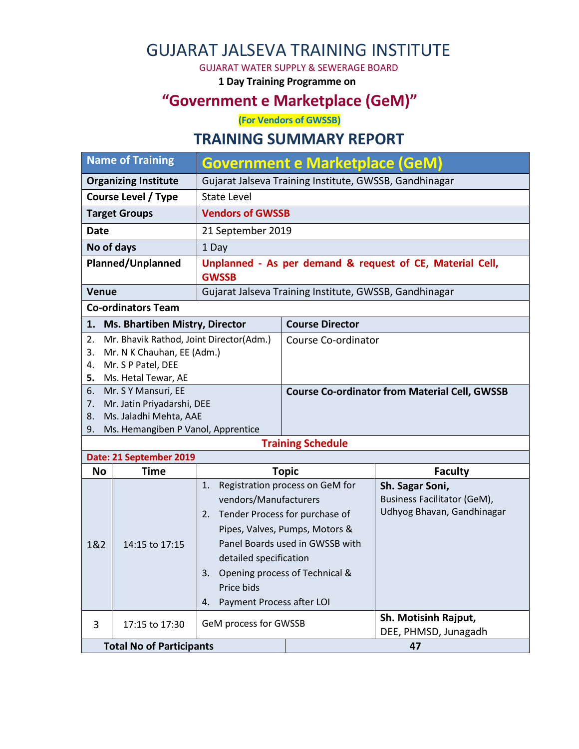# GUJARAT JALSEVA TRAINING INSTITUTE

GUJARAT WATER SUPPLY & SEWERAGE BOARD

**1 Day Training Programme on**

### **"Government e Marketplace (GeM)"**

**(For Vendors of GWSSB)**

#### **TRAINING SUMMARY REPORT**

| <b>Name of Training</b>                                                           |                                                              | <b>Government e Marketplace (GeM)</b>                                                                                                             |                                                                                                                                        |                                                                                     |  |
|-----------------------------------------------------------------------------------|--------------------------------------------------------------|---------------------------------------------------------------------------------------------------------------------------------------------------|----------------------------------------------------------------------------------------------------------------------------------------|-------------------------------------------------------------------------------------|--|
| <b>Organizing Institute</b>                                                       |                                                              | Gujarat Jalseva Training Institute, GWSSB, Gandhinagar                                                                                            |                                                                                                                                        |                                                                                     |  |
| <b>Course Level / Type</b>                                                        |                                                              | <b>State Level</b>                                                                                                                                |                                                                                                                                        |                                                                                     |  |
|                                                                                   | <b>Target Groups</b>                                         | <b>Vendors of GWSSB</b>                                                                                                                           |                                                                                                                                        |                                                                                     |  |
| Date                                                                              |                                                              | 21 September 2019                                                                                                                                 |                                                                                                                                        |                                                                                     |  |
| No of days                                                                        |                                                              | 1 Day                                                                                                                                             |                                                                                                                                        |                                                                                     |  |
| <b>Planned/Unplanned</b>                                                          |                                                              | Unplanned - As per demand & request of CE, Material Cell,<br><b>GWSSB</b>                                                                         |                                                                                                                                        |                                                                                     |  |
| <b>Venue</b>                                                                      |                                                              |                                                                                                                                                   | Gujarat Jalseva Training Institute, GWSSB, Gandhinagar                                                                                 |                                                                                     |  |
|                                                                                   | <b>Co-ordinators Team</b>                                    |                                                                                                                                                   |                                                                                                                                        |                                                                                     |  |
| 1.                                                                                | Ms. Bhartiben Mistry, Director                               |                                                                                                                                                   | <b>Course Director</b>                                                                                                                 |                                                                                     |  |
| Mr. Bhavik Rathod, Joint Director(Adm.)<br>2.<br>Mr. N K Chauhan, EE (Adm.)<br>3. |                                                              |                                                                                                                                                   | Course Co-ordinator                                                                                                                    |                                                                                     |  |
| Mr. S P Patel, DEE<br>4.                                                          |                                                              |                                                                                                                                                   |                                                                                                                                        |                                                                                     |  |
| 5.                                                                                | Ms. Hetal Tewar, AE                                          |                                                                                                                                                   |                                                                                                                                        |                                                                                     |  |
| Mr. S Y Mansuri, EE<br>6.                                                         |                                                              |                                                                                                                                                   | <b>Course Co-ordinator from Material Cell, GWSSB</b>                                                                                   |                                                                                     |  |
| Mr. Jatin Priyadarshi, DEE<br>7.                                                  |                                                              |                                                                                                                                                   |                                                                                                                                        |                                                                                     |  |
|                                                                                   |                                                              |                                                                                                                                                   |                                                                                                                                        |                                                                                     |  |
| 8.<br>9.                                                                          | Ms. Jaladhi Mehta, AAE<br>Ms. Hemangiben P Vanol, Apprentice |                                                                                                                                                   |                                                                                                                                        |                                                                                     |  |
|                                                                                   |                                                              |                                                                                                                                                   | <b>Training Schedule</b>                                                                                                               |                                                                                     |  |
|                                                                                   | Date: 21 September 2019                                      |                                                                                                                                                   |                                                                                                                                        |                                                                                     |  |
| <b>No</b>                                                                         | <b>Time</b>                                                  |                                                                                                                                                   | <b>Topic</b>                                                                                                                           | <b>Faculty</b>                                                                      |  |
| 1&2                                                                               | 14:15 to 17:15                                               | 1.<br>vendors/Manufacturers<br>2. Tender Process for purchase of<br>detailed specification<br>3.<br>Price bids<br>Payment Process after LOI<br>4. | Registration process on GeM for<br>Pipes, Valves, Pumps, Motors &<br>Panel Boards used in GWSSB with<br>Opening process of Technical & | Sh. Sagar Soni,<br><b>Business Facilitator (GeM),</b><br>Udhyog Bhavan, Gandhinagar |  |
| 3                                                                                 | 17:15 to 17:30                                               | GeM process for GWSSB                                                                                                                             |                                                                                                                                        | Sh. Motisinh Rajput,<br>DEE, PHMSD, Junagadh                                        |  |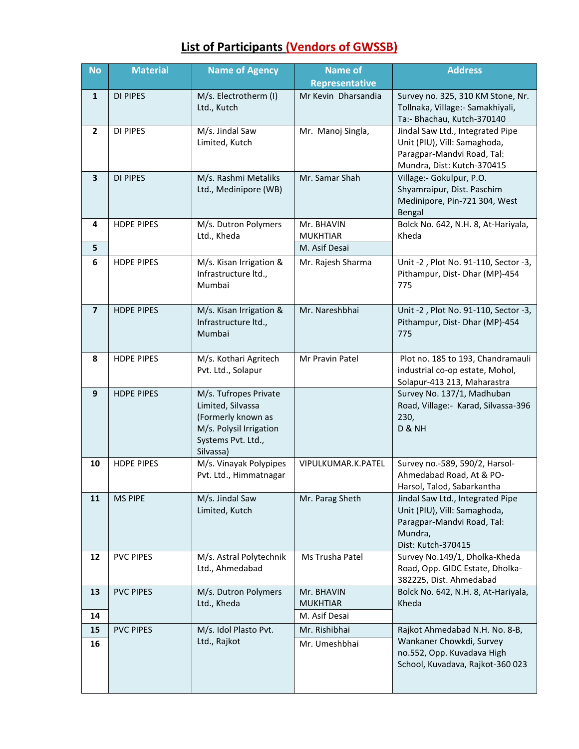| <b>No</b>               | <b>Material</b>   | <b>Name of Agency</b>                                                                                                          | <b>Name of</b><br><b>Representative</b>        | <b>Address</b>                                                                                                                  |
|-------------------------|-------------------|--------------------------------------------------------------------------------------------------------------------------------|------------------------------------------------|---------------------------------------------------------------------------------------------------------------------------------|
| $\mathbf{1}$            | DI PIPES          | M/s. Electrotherm (I)<br>Ltd., Kutch                                                                                           | Mr Kevin Dharsandia                            | Survey no. 325, 310 KM Stone, Nr.<br>Tollnaka, Village:- Samakhiyali,<br>Ta:- Bhachau, Kutch-370140                             |
| $\overline{2}$          | <b>DI PIPES</b>   | M/s. Jindal Saw<br>Limited, Kutch                                                                                              | Mr. Manoj Singla,                              | Jindal Saw Ltd., Integrated Pipe<br>Unit (PIU), Vill: Samaghoda,<br>Paragpar-Mandvi Road, Tal:<br>Mundra, Dist: Kutch-370415    |
| $\overline{\mathbf{3}}$ | <b>DI PIPES</b>   | M/s. Rashmi Metaliks<br>Ltd., Medinipore (WB)                                                                                  | Mr. Samar Shah                                 | Village:- Gokulpur, P.O.<br>Shyamraipur, Dist. Paschim<br>Medinipore, Pin-721 304, West<br>Bengal                               |
| 4<br>5                  | <b>HDPE PIPES</b> | M/s. Dutron Polymers<br>Ltd., Kheda                                                                                            | Mr. BHAVIN<br><b>MUKHTIAR</b><br>M. Asif Desai | Bolck No. 642, N.H. 8, At-Hariyala,<br>Kheda                                                                                    |
| 6                       | <b>HDPE PIPES</b> | M/s. Kisan Irrigation &<br>Infrastructure ltd.,<br>Mumbai                                                                      | Mr. Rajesh Sharma                              | Unit -2, Plot No. 91-110, Sector -3,<br>Pithampur, Dist- Dhar (MP)-454<br>775                                                   |
| $\overline{\mathbf{z}}$ | <b>HDPE PIPES</b> | M/s. Kisan Irrigation &<br>Infrastructure Itd.,<br>Mumbai                                                                      | Mr. Nareshbhai                                 | Unit -2, Plot No. 91-110, Sector -3,<br>Pithampur, Dist- Dhar (MP)-454<br>775                                                   |
| 8                       | <b>HDPE PIPES</b> | M/s. Kothari Agritech<br>Pvt. Ltd., Solapur                                                                                    | Mr Pravin Patel                                | Plot no. 185 to 193, Chandramauli<br>industrial co-op estate, Mohol,<br>Solapur-413 213, Maharastra                             |
| 9                       | <b>HDPE PIPES</b> | M/s. Tufropes Private<br>Limited, Silvassa<br>(Formerly known as<br>M/s. Polysil Irrigation<br>Systems Pvt. Ltd.,<br>Silvassa) |                                                | Survey No. 137/1, Madhuban<br>Road, Village: - Karad, Silvassa-396<br>230,<br>D & NH                                            |
| 10                      | <b>HDPE PIPES</b> | M/s. Vinayak Polypipes<br>Pvt. Ltd., Himmatnagar                                                                               | VIPULKUMAR.K.PATEL                             | Survey no.-589, 590/2, Harsol-<br>Ahmedabad Road, At & PO-<br>Harsol, Talod, Sabarkantha                                        |
| 11                      | <b>MS PIPE</b>    | M/s. Jindal Saw<br>Limited, Kutch                                                                                              | Mr. Parag Sheth                                | Jindal Saw Ltd., Integrated Pipe<br>Unit (PIU), Vill: Samaghoda,<br>Paragpar-Mandvi Road, Tal:<br>Mundra,<br>Dist: Kutch-370415 |
| 12                      | <b>PVC PIPES</b>  | M/s. Astral Polytechnik<br>Ltd., Ahmedabad                                                                                     | Ms Trusha Patel                                | Survey No.149/1, Dholka-Kheda<br>Road, Opp. GIDC Estate, Dholka-<br>382225, Dist. Ahmedabad                                     |
| 13<br>14                | <b>PVC PIPES</b>  | M/s. Dutron Polymers<br>Ltd., Kheda                                                                                            | Mr. BHAVIN<br><b>MUKHTIAR</b><br>M. Asif Desai | Bolck No. 642, N.H. 8, At-Hariyala,<br>Kheda                                                                                    |
| 15<br>16                | <b>PVC PIPES</b>  | M/s. Idol Plasto Pvt.<br>Ltd., Rajkot                                                                                          | Mr. Rishibhai<br>Mr. Umeshbhai                 | Rajkot Ahmedabad N.H. No. 8-B,<br>Wankaner Chowkdi, Survey<br>no.552, Opp. Kuvadava High<br>School, Kuvadava, Rajkot-360 023    |

### **List of Participants (Vendors of GWSSB)**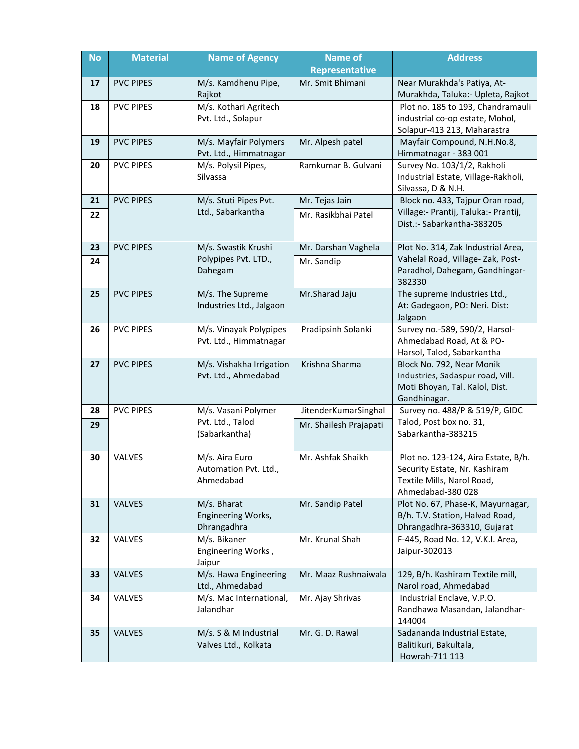| <b>No</b> | <b>Material</b>  | <b>Name of Agency</b>                                   | <b>Name of</b><br><b>Representative</b> | <b>Address</b>                                                                                                          |
|-----------|------------------|---------------------------------------------------------|-----------------------------------------|-------------------------------------------------------------------------------------------------------------------------|
| 17        | <b>PVC PIPES</b> | M/s. Kamdhenu Pipe,<br>Rajkot                           | Mr. Smit Bhimani                        | Near Murakhda's Patiya, At-<br>Murakhda, Taluka: - Upleta, Rajkot                                                       |
| 18        | <b>PVC PIPES</b> | M/s. Kothari Agritech<br>Pvt. Ltd., Solapur             |                                         | Plot no. 185 to 193, Chandramauli<br>industrial co-op estate, Mohol,<br>Solapur-413 213, Maharastra                     |
| 19        | <b>PVC PIPES</b> | M/s. Mayfair Polymers<br>Pvt. Ltd., Himmatnagar         | Mr. Alpesh patel                        | Mayfair Compound, N.H.No.8,<br>Himmatnagar - 383 001                                                                    |
| 20        | <b>PVC PIPES</b> | M/s. Polysil Pipes,<br>Silvassa                         | Ramkumar B. Gulvani                     | Survey No. 103/1/2, Rakholi<br>Industrial Estate, Village-Rakholi,<br>Silvassa, D & N.H.                                |
| 21        | <b>PVC PIPES</b> | M/s. Stuti Pipes Pvt.                                   | Mr. Tejas Jain                          | Block no. 433, Tajpur Oran road,                                                                                        |
| 22        |                  | Ltd., Sabarkantha                                       | Mr. Rasikbhai Patel                     | Village:- Prantij, Taluka:- Prantij,<br>Dist.:- Sabarkantha-383205                                                      |
| 23        | <b>PVC PIPES</b> | M/s. Swastik Krushi                                     | Mr. Darshan Vaghela                     | Plot No. 314, Zak Industrial Area,                                                                                      |
| 24        |                  | Polypipes Pvt. LTD.,<br>Dahegam                         | Mr. Sandip                              | Vahelal Road, Village-Zak, Post-<br>Paradhol, Dahegam, Gandhingar-<br>382330                                            |
| 25        | <b>PVC PIPES</b> | M/s. The Supreme<br>Industries Ltd., Jalgaon            | Mr.Sharad Jaju                          | The supreme Industries Ltd.,<br>At: Gadegaon, PO: Neri. Dist:<br>Jalgaon                                                |
| 26        | <b>PVC PIPES</b> | M/s. Vinayak Polypipes<br>Pvt. Ltd., Himmatnagar        | Pradipsinh Solanki                      | Survey no.-589, 590/2, Harsol-<br>Ahmedabad Road, At & PO-<br>Harsol, Talod, Sabarkantha                                |
| 27        | <b>PVC PIPES</b> | M/s. Vishakha Irrigation<br>Pvt. Ltd., Ahmedabad        | Krishna Sharma                          | Block No. 792, Near Monik<br>Industries, Sadaspur road, Vill.<br>Moti Bhoyan, Tal. Kalol, Dist.<br>Gandhinagar.         |
| 28        | <b>PVC PIPES</b> | M/s. Vasani Polymer                                     | JitenderKumarSinghal                    | Survey no. 488/P & 519/P, GIDC                                                                                          |
| 29        |                  | Pvt. Ltd., Talod<br>(Sabarkantha)                       | Mr. Shailesh Prajapati                  | Talod, Post box no. 31,<br>Sabarkantha-383215                                                                           |
| 30        | VALVES           | M/s. Aira Euro<br>Automation Pvt. Ltd.,<br>Ahmedabad    | Mr. Ashfak Shaikh                       | Plot no. 123-124, Aira Estate, B/h.<br>Security Estate, Nr. Kashiram<br>Textile Mills, Narol Road,<br>Ahmedabad-380 028 |
| 31        | <b>VALVES</b>    | M/s. Bharat<br><b>Engineering Works,</b><br>Dhrangadhra | Mr. Sandip Patel                        | Plot No. 67, Phase-K, Mayurnagar,<br>B/h. T.V. Station, Halvad Road,<br>Dhrangadhra-363310, Gujarat                     |
| 32        | VALVES           | M/s. Bikaner<br>Engineering Works,<br>Jaipur            | Mr. Krunal Shah                         | F-445, Road No. 12, V.K.I. Area,<br>Jaipur-302013                                                                       |
| 33        | VALVES           | M/s. Hawa Engineering<br>Ltd., Ahmedabad                | Mr. Maaz Rushnaiwala                    | 129, B/h. Kashiram Textile mill,<br>Narol road, Ahmedabad                                                               |
| 34        | VALVES           | M/s. Mac International,<br>Jalandhar                    | Mr. Ajay Shrivas                        | Industrial Enclave, V.P.O.<br>Randhawa Masandan, Jalandhar-<br>144004                                                   |
| 35        | <b>VALVES</b>    | M/s. S & M Industrial<br>Valves Ltd., Kolkata           | Mr. G. D. Rawal                         | Sadananda Industrial Estate,<br>Balitikuri, Bakultala,<br>Howrah-711 113                                                |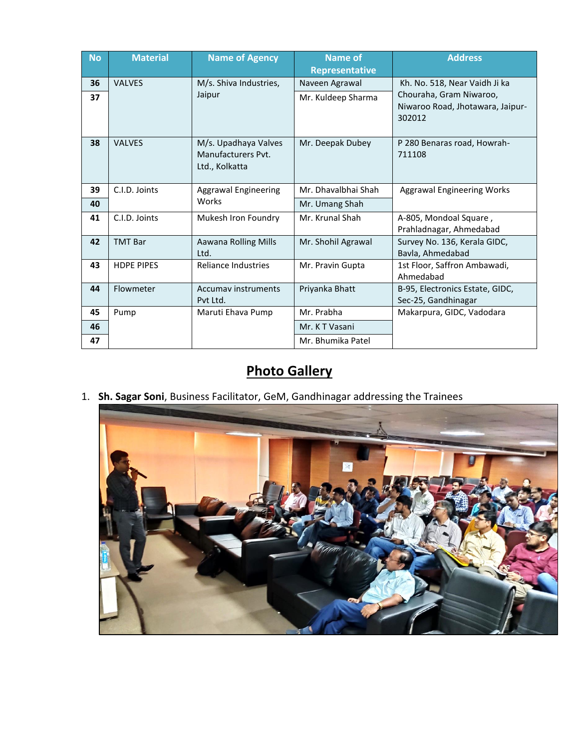| <b>No</b> | <b>Material</b>   | <b>Name of Agency</b>                                        | Name of<br><b>Representative</b> | <b>Address</b>                                                        |
|-----------|-------------------|--------------------------------------------------------------|----------------------------------|-----------------------------------------------------------------------|
| 36        | <b>VALVES</b>     | M/s. Shiva Industries,                                       | Naveen Agrawal                   | Kh. No. 518, Near Vaidh Ji ka                                         |
| 37        |                   | Jaipur                                                       | Mr. Kuldeep Sharma               | Chouraha, Gram Niwaroo,<br>Niwaroo Road, Jhotawara, Jaipur-<br>302012 |
| 38        | <b>VALVES</b>     | M/s. Upadhaya Valves<br>Manufacturers Pyt.<br>Ltd., Kolkatta | Mr. Deepak Dubey                 | P 280 Benaras road, Howrah-<br>711108                                 |
| 39        | C.I.D. Joints     | Aggrawal Engineering                                         | Mr. Dhavalbhai Shah              | <b>Aggrawal Engineering Works</b>                                     |
| 40        |                   | Works                                                        | Mr. Umang Shah                   |                                                                       |
| 41        | C.I.D. Joints     | Mukesh Iron Foundry                                          | Mr. Krunal Shah                  | A-805, Mondoal Square,<br>Prahladnagar, Ahmedabad                     |
| 42        | <b>TMT Bar</b>    | Aawana Rolling Mills<br>Ltd.                                 | Mr. Shohil Agrawal               | Survey No. 136, Kerala GIDC,<br>Bavla, Ahmedabad                      |
| 43        | <b>HDPE PIPES</b> | <b>Reliance Industries</b>                                   | Mr. Pravin Gupta                 | 1st Floor, Saffron Ambawadi,<br>Ahmedabad                             |
| 44        | Flowmeter         | <b>Accumav instruments</b><br>Pyt Ltd.                       | Priyanka Bhatt                   | B-95, Electronics Estate, GIDC,<br>Sec-25, Gandhinagar                |
| 45        | Pump              | Maruti Ehava Pump                                            | Mr. Prabha                       | Makarpura, GIDC, Vadodara                                             |
| 46        |                   |                                                              | Mr. KT Vasani                    |                                                                       |
| 47        |                   |                                                              | Mr. Bhumika Patel                |                                                                       |

# **Photo Gallery**

1. **Sh. Sagar Soni**, Business Facilitator, GeM, Gandhinagar addressing the Trainees